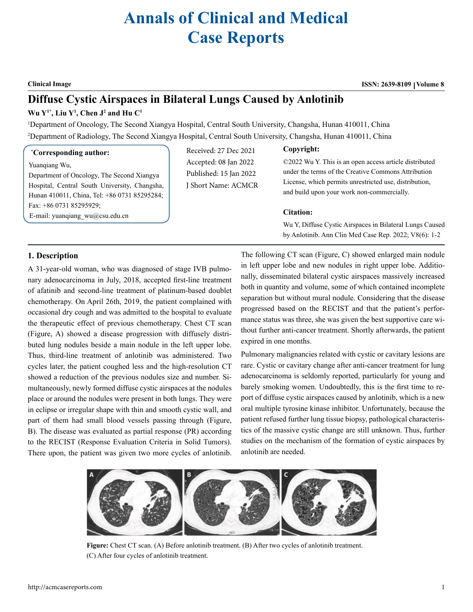# **Annals of Clinical and Medical Case Reports**

#### **Clinical Image ISSN: 2639-8109 Volume 8**

## **Diffuse Cystic Airspaces in Bilateral Lungs Caused by Anlotinib**

#### **Wu Y1\*, Liu Y1 , Chen J2 and Hu C1**

1 Department of Oncology, The Second Xiangya Hospital, Central South University, Changsha, Hunan 410011, China 2 Department of Radiology, The Second Xiangya Hospital, Central South University, Changsha, Hunan 410011, China

#### **\* Corresponding author:**

Yuanqiang Wu,

Department of Oncology, The Second Xiangya Hospital, Central South University, Changsha, Hunan 410011, China, Tel: +86 0731 85295284; Fax: +86 0731 85295929; E-mail: [yuanqiang\\_wu@csu.edu.cn](mailto:yuanqiang_wu@csu.edu.cn)

#### Received: 27 Dec 2021

Accepted: 08 Jan 2022 Published: 15 Jan 2022 J Short Name: ACMCR ©2022 Wu Y. This is an open access article distributed under the terms of the Creative Commons Attribution License, which permits unrestricted use, distribution, and build upon your work non-commercially.

#### **Citation:**

**Copyright:**

Wu Y, Diffuse Cystic Airspaces in Bilateral Lungs Caused by Anlotinib. Ann Clin Med Case Rep. 2022; V8(6): 1-2

### **1. Description**

A 31-year-old woman, who was diagnosed of stage IVB pulmonary adenocarcinoma in July, 2018, accepted first-line treatment of afatinib and second-line treatment of platinum-based doublet chemotherapy. On April 26th, 2019, the patient complained with occasional dry cough and was admitted to the hospital to evaluate the therapeutic effect of previous chemotherapy. Chest CT scan (Figure, A) showed a disease progression with diffusely distributed lung nodules beside a main nodule in the left upper lobe. Thus, third-line treatment of anlotinib was administered. Two cycles later, the patient coughed less and the high-resolution CT showed a reduction of the previous nodules size and number. Simultaneously, newly formed diffuse cystic airspaces at the nodules place or around the nodules were present in both lungs. They were in eclipse or irregular shape with thin and smooth cystic wall, and part of them had small blood vessels passing through (Figure, B). The disease was evaluated as partial response (PR) according to the RECIST (Response Evaluation Criteria in Solid Tumors). There upon, the patient was given two more cycles of anlotinib. The following CT scan (Figure, C) showed enlarged main nodule in left upper lobe and new nodules in right upper lobe. Additionally, disseminated bilateral cystic airspaces massively increased both in quantity and volume, some of which contained incomplete separation but without mural nodule. Considering that the disease progressed based on the RECIST and that the patient's performance status was three, she was given the best supportive care without further anti-cancer treatment. Shortly afterwards, the patient expired in one months.

Pulmonary malignancies related with cystic or cavitary lesions are rare. Cystic or cavitary change after anti-cancer treatment for lung adenocarcinoma is seldomly reported, particularly for young and barely smoking women. Undoubtedly, this is the first time to report of diffuse cystic airspaces caused by anlotinib, which is a new oral multiple tyrosine kinase inhibitor. Unfortunately, because the patient refused further lung tissue biopsy, pathological characteristics of the massive cystic change are still unknown. Thus, further studies on the mechanism of the formation of cystic airspaces by anlotinib are needed.



**Figure:** Chest CT scan. (A) Before anlotinib treatment. (B) After two cycles of anlotinib treatment. (C) After four cycles of anlotinib treatment.